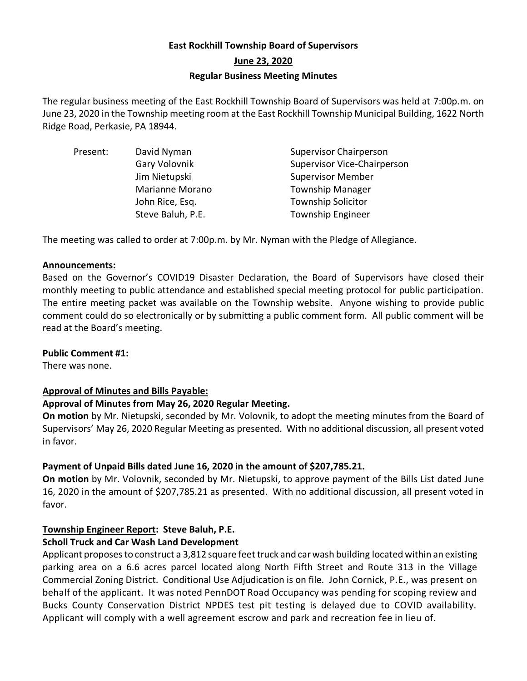# **East Rockhill Township Board of Supervisors June 23, 2020 Regular Business Meeting Minutes**

The regular business meeting of the East Rockhill Township Board of Supervisors was held at 7:00p.m. on June 23, 2020 in the Township meeting room at the East Rockhill Township Municipal Building, 1622 North Ridge Road, Perkasie, PA 18944.

| David Nyman       | <b>Supervisor Chairperson</b>      |
|-------------------|------------------------------------|
| Gary Volovnik     | <b>Supervisor Vice-Chairperson</b> |
| Jim Nietupski     | <b>Supervisor Member</b>           |
| Marianne Morano   | <b>Township Manager</b>            |
| John Rice, Esq.   | <b>Township Solicitor</b>          |
| Steve Baluh, P.E. | <b>Township Engineer</b>           |
|                   |                                    |

The meeting was called to order at 7:00p.m. by Mr. Nyman with the Pledge of Allegiance.

### **Announcements:**

Based on the Governor's COVID19 Disaster Declaration, the Board of Supervisors have closed their monthly meeting to public attendance and established special meeting protocol for public participation. The entire meeting packet was available on the Township website. Anyone wishing to provide public comment could do so electronically or by submitting a public comment form. All public comment will be read at the Board's meeting.

# **Public Comment #1:**

There was none.

# **Approval of Minutes and Bills Payable:**

# **Approval of Minutes from May 26, 2020 Regular Meeting.**

**On motion** by Mr. Nietupski, seconded by Mr. Volovnik, to adopt the meeting minutes from the Board of Supervisors' May 26, 2020 Regular Meeting as presented. With no additional discussion, all present voted in favor.

# **Payment of Unpaid Bills dated June 16, 2020 in the amount of \$207,785.21.**

**On motion** by Mr. Volovnik, seconded by Mr. Nietupski, to approve payment of the Bills List dated June 16, 2020 in the amount of \$207,785.21 as presented. With no additional discussion, all present voted in favor.

# **Township Engineer Report: Steve Baluh, P.E.**

### **Scholl Truck and Car Wash Land Development**

Applicant proposes to construct a 3,812 square feet truck and car wash building located within an existing parking area on a 6.6 acres parcel located along North Fifth Street and Route 313 in the Village Commercial Zoning District. Conditional Use Adjudication is on file. John Cornick, P.E., was present on behalf of the applicant. It was noted PennDOT Road Occupancy was pending for scoping review and Bucks County Conservation District NPDES test pit testing is delayed due to COVID availability. Applicant will comply with a well agreement escrow and park and recreation fee in lieu of.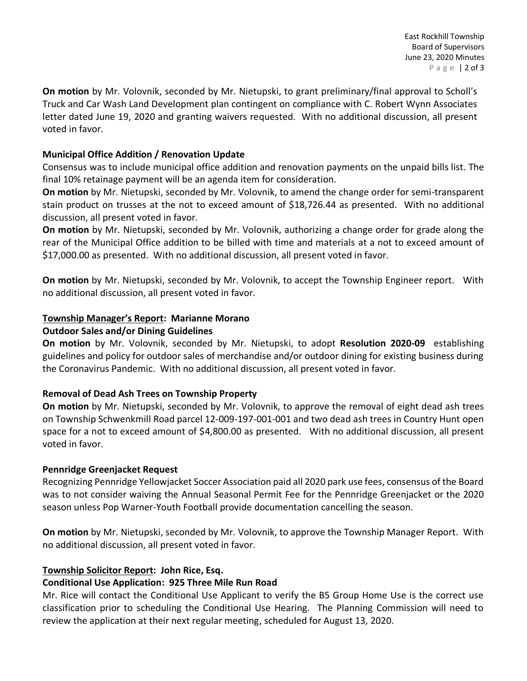**On motion** by Mr. Volovnik, seconded by Mr. Nietupski, to grant preliminary/final approval to Scholl's Truck and Car Wash Land Development plan contingent on compliance with C. Robert Wynn Associates letter dated June 19, 2020 and granting waivers requested. With no additional discussion, all present voted in favor.

### **Municipal Office Addition / Renovation Update**

Consensus was to include municipal office addition and renovation payments on the unpaid bills list. The final 10% retainage payment will be an agenda item for consideration.

**On motion** by Mr. Nietupski, seconded by Mr. Volovnik, to amend the change order for semi-transparent stain product on trusses at the not to exceed amount of \$18,726.44 as presented. With no additional discussion, all present voted in favor.

**On motion** by Mr. Nietupski, seconded by Mr. Volovnik, authorizing a change order for grade along the rear of the Municipal Office addition to be billed with time and materials at a not to exceed amount of \$17,000.00 as presented. With no additional discussion, all present voted in favor.

**On motion** by Mr. Nietupski, seconded by Mr. Volovnik, to accept the Township Engineer report. With no additional discussion, all present voted in favor.

# **Township Manager's Report: Marianne Morano**

# **Outdoor Sales and/or Dining Guidelines**

**On motion** by Mr. Volovnik, seconded by Mr. Nietupski, to adopt **Resolution 2020-09** establishing guidelines and policy for outdoor sales of merchandise and/or outdoor dining for existing business during the Coronavirus Pandemic. With no additional discussion, all present voted in favor.

# **Removal of Dead Ash Trees on Township Property**

**On motion** by Mr. Nietupski, seconded by Mr. Volovnik, to approve the removal of eight dead ash trees on Township Schwenkmill Road parcel 12-009-197-001-001 and two dead ash trees in Country Hunt open space for a not to exceed amount of \$4,800.00 as presented. With no additional discussion, all present voted in favor.

# **Pennridge Greenjacket Request**

Recognizing Pennridge Yellowjacket Soccer Association paid all 2020 park use fees, consensus of the Board was to not consider waiving the Annual Seasonal Permit Fee for the Pennridge Greenjacket or the 2020 season unless Pop Warner-Youth Football provide documentation cancelling the season.

**On motion** by Mr. Nietupski, seconded by Mr. Volovnik, to approve the Township Manager Report. With no additional discussion, all present voted in favor.

# **Township Solicitor Report: John Rice, Esq.**

# **Conditional Use Application: 925 Three Mile Run Road**

Mr. Rice will contact the Conditional Use Applicant to verify the B5 Group Home Use is the correct use classification prior to scheduling the Conditional Use Hearing. The Planning Commission will need to review the application at their next regular meeting, scheduled for August 13, 2020.